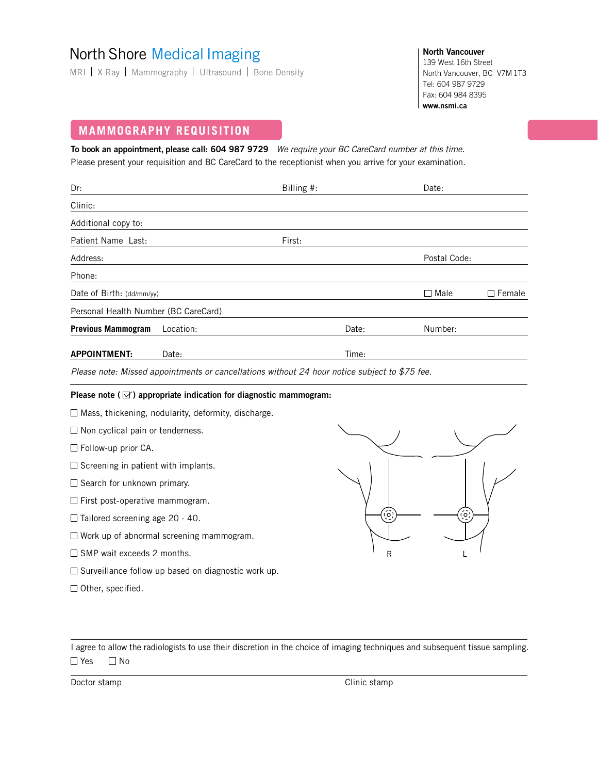# North Shore Medical Imaging

MRI | X-Ray | Mammography | Ultrasound | Bone Density

**North Vancouver** 139 West 16th Street North Vancouver, BC V7M 1T3 Tel: 604 987 9729 Fax: 604 984 8395 **www.nsmi.ca**

## **MAMMOGRAPHY REQUISITION**

**To book an appointment, please call: 604 987 9729** We require your BC CareCard number at this time. Please present your requisition and BC CareCard to the receptionist when you arrive for your examination.

| Dr:                                  |                                                                                               | Billing $#$ : |       | Date:        |               |
|--------------------------------------|-----------------------------------------------------------------------------------------------|---------------|-------|--------------|---------------|
| Clinic:                              |                                                                                               |               |       |              |               |
| Additional copy to:                  |                                                                                               |               |       |              |               |
| Patient Name Last:                   |                                                                                               | First:        |       |              |               |
| Address:                             |                                                                                               |               |       | Postal Code: |               |
| Phone:                               |                                                                                               |               |       |              |               |
| Date of Birth: (dd/mm/yy)            |                                                                                               |               |       | $\Box$ Male  | $\Box$ Female |
| Personal Health Number (BC CareCard) |                                                                                               |               |       |              |               |
| <b>Previous Mammogram</b>            | Location:                                                                                     |               | Date: | Number:      |               |
| <b>APPOINTMENT:</b>                  | Date:                                                                                         |               | Time: |              |               |
|                                      | $Dlace$ note $Mized$ cancintments or consellations without 24 hour paties subject to $T5$ fee |               |       |              |               |

Please note: Missed appointments or cancellations without 24 hour notice subject to \$75 fee.

#### Please note ( $\boxtimes$ ) appropriate indication for diagnostic mammogram:

 $\Box$  Mass, thickening, nodularity, deformity, discharge.

 $\Box$  Non cyclical pain or tenderness.

□ Follow-up prior CA.

 $\square$  Screening in patient with implants.

□ Search for unknown primary.

 $\Box$  First post-operative mammogram.

 $\Box$  Tailored screening age 20 - 40.

 $\square$  Work up of abnormal screening mammogram.

 $\Box$  SMP wait exceeds 2 months.

- $\square$  Surveillance follow up based on diagnostic work up.
- $\Box$  Other, specified.



I agree to allow the radiologists to use their discretion in the choice of imaging techniques and subsequent tissue sampling.  $\Box$  Yes  $\Box$  No

Doctor stamp Clinic stamp